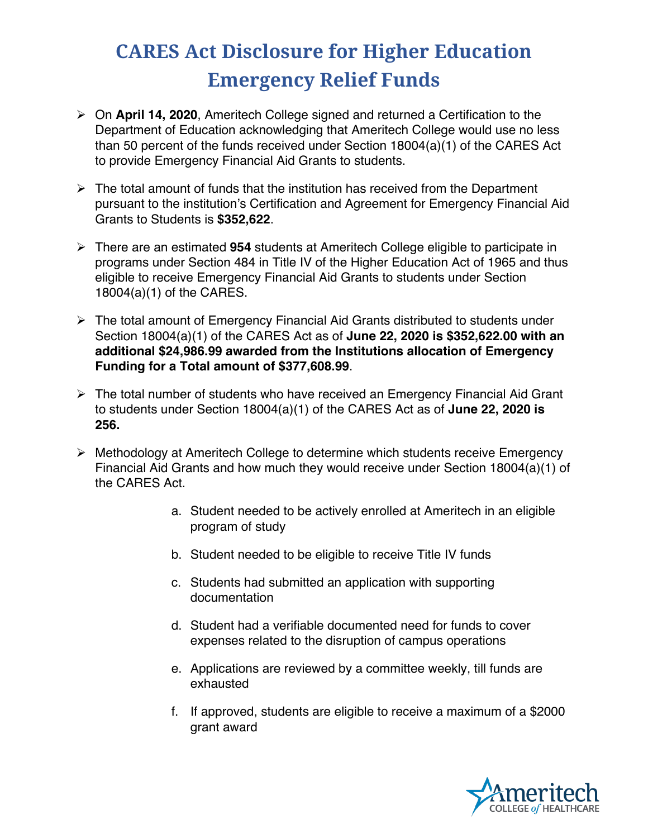## **CARES Act Disclosure for Higher Education Emergency Relief Funds**

- Ø On **April 14, 2020**, Ameritech College signed and returned a Certification to the Department of Education acknowledging that Ameritech College would use no less than 50 percent of the funds received under Section 18004(a)(1) of the CARES Act to provide Emergency Financial Aid Grants to students.
- $\triangleright$  The total amount of funds that the institution has received from the Department pursuant to the institution's Certification and Agreement for Emergency Financial Aid Grants to Students is **\$352,622**.
- Ø There are an estimated **954** students at Ameritech College eligible to participate in programs under Section 484 in Title IV of the Higher Education Act of 1965 and thus eligible to receive Emergency Financial Aid Grants to students under Section 18004(a)(1) of the CARES.
- $\triangleright$  The total amount of Emergency Financial Aid Grants distributed to students under Section 18004(a)(1) of the CARES Act as of **June 22, 2020 is \$352,622.00 with an additional \$24,986.99 awarded from the Institutions allocation of Emergency Funding for a Total amount of \$377,608.99**.
- $\triangleright$  The total number of students who have received an Emergency Financial Aid Grant to students under Section 18004(a)(1) of the CARES Act as of **June 22, 2020 is 256.**
- $\triangleright$  Methodology at Ameritech College to determine which students receive Emergency Financial Aid Grants and how much they would receive under Section 18004(a)(1) of the CARES Act.
	- a. Student needed to be actively enrolled at Ameritech in an eligible program of study
	- b. Student needed to be eligible to receive Title IV funds
	- c. Students had submitted an application with supporting documentation
	- d. Student had a verifiable documented need for funds to cover expenses related to the disruption of campus operations
	- e. Applications are reviewed by a committee weekly, till funds are exhausted
	- f. If approved, students are eligible to receive a maximum of a \$2000 grant award